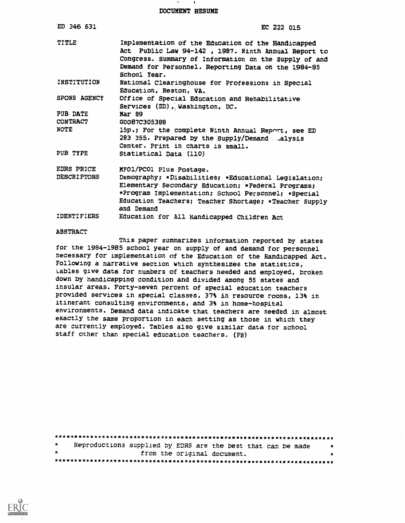DOCUMENT RESUME

| ED 346 631                  | EC 222 015                                                                                                                                                                                                                                                                                     |
|-----------------------------|------------------------------------------------------------------------------------------------------------------------------------------------------------------------------------------------------------------------------------------------------------------------------------------------|
| <b>TITLE</b><br>INSTITUTION | Implementation of the Education of the Handicapped<br>Act Public Law 94-142, 1987. Ninth Annual Report to<br>Congress. Summary of Information on the Supply of and<br>Demand for Personnel. Reporting Data on the 1984-85<br>School Year.<br>National Clearinghouse for Professions in Special |
|                             | Education, Reston, VA.                                                                                                                                                                                                                                                                         |
| SPONS AGENCY                | Office of Special Education and Rehabilitative<br>Services (ED), Washington, DC.                                                                                                                                                                                                               |
| PUB DATE                    | Mar 89                                                                                                                                                                                                                                                                                         |
| <b>CONTRACT</b>             | G0087C305388                                                                                                                                                                                                                                                                                   |
| <b>NOTE</b>                 | 15p.; For the complete Ninth Annual Report, see ED<br>283 355. Prepared by the Supply/Demand  alysis<br>Center. Print in charts is small.                                                                                                                                                      |
| PUB TYPE                    | Statistical Data (110)                                                                                                                                                                                                                                                                         |
| EDRS PRICE                  | MFO1/PC01 Plus Postage.                                                                                                                                                                                                                                                                        |
| <b>DESCRIPTORS</b>          | Demography; *Disabilities; *Educational Legislation;<br>Elementary Secondary Education; *Federal Programs;<br>*Program Implementation; School Personnel; *Special<br>Education Teachers; Teacher Shortage; *Teacher Supply<br>and Demand                                                       |
| <b>IDENTIFIERS</b>          | Education for All Handicapped Children Act                                                                                                                                                                                                                                                     |

### **ABSTRACT**

This paper summarizes information reported by states for the 1984-1985 school year on supply of and demand for personnel necessary for implementation of the Education of the Handicapped Act. Following a narrative section which synthesizes the statistics, tables give data for numbers of teachers needed and employed, broken down by handicapping condition and divided among 55 states and insular areas. Forty-seven percent of special education teachers provided services in special classes, 37% in resource rooms, 13% in itinerant consulting environments, and 3% in home-hospital environments. Demand data indicate that teachers are needed in almost exactly the same proportion in each setting as those in which they are currently employed. Tables also give similar data for school staff other than special education teachers. (PB)

| $\star$ | Reproductions supplied by EDRS are the best that can be made |                             |  |  |  |  | $\bullet$ |
|---------|--------------------------------------------------------------|-----------------------------|--|--|--|--|-----------|
| 大       |                                                              | from the original document. |  |  |  |  | $\bullet$ |
|         |                                                              |                             |  |  |  |  |           |

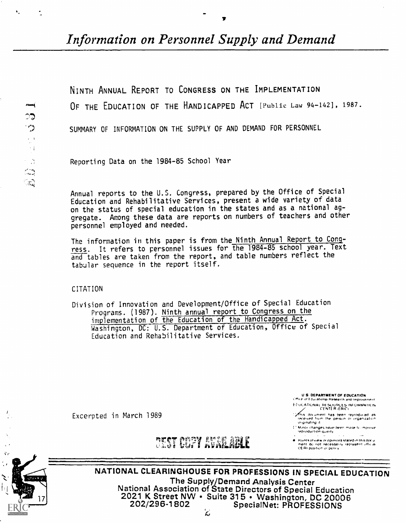Information on Personnel Supply and Demand

NINTH ANNUAL REPORT TO CONGRESS ON THE IMPLEMENTATION OF THE EDUCATION OF THE HANDICAPPED ACT [Public Law 94-142], 1987. SUMMARY OF INFORMATION ON THE SUPPLY OF AND DEMAND FOR PERSONNEL

Reporting Data on the 1984-85 School Year

Annual reports to the U.S. Congress, prepared by the Office of Special Education and Rehabilitative Services, present a wide variety of data on the status of special education in the states and as a national aggregate. Among these data are reports on numbers of teachers and other personnel employed and needed.

The information in this paper is from the Ninth Annual Report to Congress. It refers to personnel issues for the 1984-85 school year. Text and tables are taken from the report, and table numbers reflect the tabular sequence in the report itself.

**CITATION** 

Division of Innovation and Development/Office of Special Education Programs. (1987). Ninth annual report to Congress on the implementation of the Education of the Handicapped Act.<br>Washington, DC: U.S. Department of Education, Office of Special Education and Rehabilitative Services.

> **U.S. DEPARTMENT OF EDUCATION** Citta e ut Educational Research and Improvement

EDUCATIONAL RESUDREES INFORMATION

This document has been reproduced as<br>received from the person or organization<br>originating it

Minor changes have been made to improve.<br>reproduction quality

**a** Points of view or opinions stated in this document do not necessarily represent official

Excerpted in March 1989



NATIONAL CLEARINGHOUSE FOR PROFESSIONS IN SPECIAL EDUCATION The Supply/Demand Analysis Center National Association of State Directors of Special Education 2021 K Street NW · Suite 315 · Washington, DC 20006 202/296-1802 SpecialNet: PROFESSIONS

 $\zeta$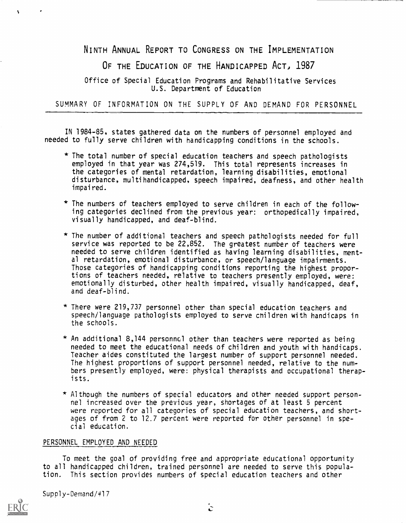NINTH ANNUAL REPORT TO CONGRESS ON THE IMPLEMENTATION

OF THE EDUCATION OF THE HANDICAPPED ACT, 1987

Office of Special Education Programs and Rehabilitative Services U.S. Department of Education

SUMMARY OF INFORMATION ON THE SUPPLY OF AND DEMAND FOR PERSONNEL

IN 1984-85, states gathered data on the numbers of personnel employed and needed to fully serve children with handicapping conditions in the schools.

- \* The total number of special education teachers and speech pathologists employed in that year was 274,519. This total represents increases in the categories of mental retardation, learning disabilities, emotional disturbance, multihandicapped, speech impaired, deafness, and other health impaired.
- \* The numbers of teachers employed to serve children in each of the following categories declined from the previous year: orthopedically impaired, visually handicapped, and deaf-blind.
- \* The number of additional teachers and speech pathologists needed for full service was reported to be 22,852. The greatest number of teachers were needed to serve children identified as having learning disabilities, mental retardation, emotional disturbance, or speech/language impairments. Those categories of handicapping conditions reporting the highest proportions of teachers needed, relative to teachers presently employed, were: emotionally disturbed, other health impaired, visually handicapped, deaf, and deaf-blind.
- \* There were 219,737 personnel other than special education teachers and speech/language pathologists employed to serve cnildren with handicaps in the schools.
- \* An additional 8,144 personnel other than teachers were reported as being needed to meet the educational needs of children and youth with handicaps. Teacher aides constituted the largest number of support personnel needed. The highest proportions of support personnel needed, relative to the numbers presently employed, were: physical therapists and occupational therapists.
- \* Although the numbers of special educators and other needed support personnel increased over the previous year, shortages of at least 5 percent were reported for all categories of special education teachers, and shortages of from 2 to 12.7 percent were reported for other personnel in special education.

### PERSONNEL EMPLOYED AND NEEDED

To meet the goal of providing free and appropriate educational opportunity to all handicapped children, trained personnel are needed to serve this population. This section provides numbers of special education teachers and other

Supply-Demand/417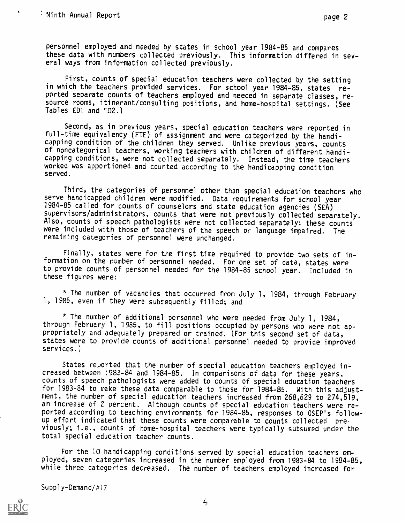$\bar{\mathbf{v}}$ 

personnel employed and needed by states in school year 1984-85 and compares these data with numbers collected previously. This information differed in several ways from information collected previously.

First, counts of special education teachers were collected by the setting in which the teachers provided services. For school year 1984-85, states reported separate counts of teachers employed and needed in separate classes, resource rooms, itinerant/consulting positions, and home-hospital settings. (See Tables ED1 and rD2.)

Second, as in previous years, special education teachers were reported in full-time equivalency (FTE) of assignment and were categorized by the handicapping condition of the children they served. Unlike previous years, counts of noncategorical teachers, working teachers with children of different handicapping conditions, were not collected separately. Instead, the time teachers worked was apportioned and counted according to the handicapping condition served.

Third, the categories of personnel other than special education teachers who serve handicapped children were modified. Data requirements for school year 1984-85 called for counts of counselors and state education agencies (SEA) supervisors/administrators, counts that were mot previously collected separately. Also, counts of speech pathologists were not collected separately; these counts were included with those of teachers of the speech or language impaired. The remaining categories of personnel were unchanged.

Finally, states were for the first time required to provide two sets of information on the number of personnel needed. For one set of data, states were to provide counts of personnel needed for the 1984-85 school year. Included in these figures were:

\* The number of vacancies that occurred from July 1, 1984, through February 1, 1985, even if they were subsequently filled; and

\* The number of additional personnel who were needed from July 1, 1984, through February 1, 1985, to fill positions occupied by persons who were not appropriately and adequately prepared or trained. (For this second set of data, states were to provide counts of additional personnel needed to provide improved services.)

States reported that the number of special education teachers employed increased between ;983-84 and 1984-85. In comparisons of data for these years, counts of speech pathologists were added to counts of special education teachers for 1983-84 to make these data comparable to those for 1984-85. With this adjustment, the number of special education teachers increased from 268,629 to 274,519, an increase of 2 percent. Although counts of special education teachers were reported according to teaching environments for 1984-85, responses to OSEP's followup effort indicated that these counts were comparable to counts collected previously; i.e., counts of home-hospital teachers were typically subsumed under the total special education teacher counts.

For the 10 handicapping conditions served by special education teachers employed, seven categories increased in the number employed from 1983-84 to 1984-85, while three categories decreased. The number of teachers employed increased for

Supply-Demand/#17

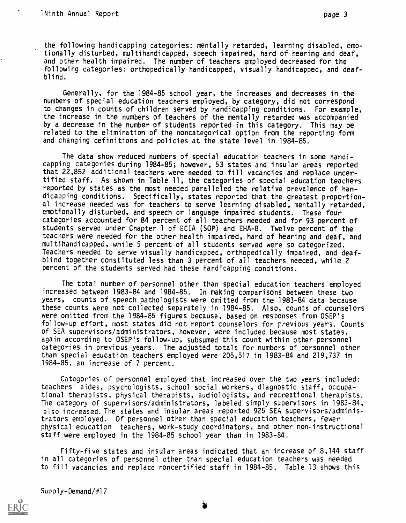the following handicapping categories: mentally retarded, learning disabled, emotionally disturbed, multihandicapped, speech impaired, hard of hearing and deaf, and other health impaired. The number of teachers employed decreased for the following categories: orthopedically handicapped, visually handicapped, and deafblind.

Generally, for the 1984-85 school year, the increases and decreases in the numbers of special education teachers employed, by category, did not correspond to changes in counts of children served by handicapping conditions. For example, the increase in the numbers of teachers of the mentally retarded was accompanied by a decrease in the number of students reported in this category. This may be related to the elimination of the noncategorical option from the reporting form and changing definitions and policies at the state level in 1984-85.

The data show reduced numbers of special education teachers in some handicapping categories during 1984-85; however, 53 states and insular areas reported that 22,852 additional teachers were needed to fill vacancies and replace uncertified staff. As shown in Table 11, the categories of special education teachers reported by states as the most needed paralleled the relative prevalence of handicapping conditions. Specifically, states reported that the greatest proportional increase needed was for teachers to serve learning disabled, mentally retarded, emotionally disturbed, and speech or language impaired students. These four categories accounted for 84 percent of all teachers needed and for 93 percent of students served under Chapter 1 of ECIA (SOP) and EHA-B. Twelve percent of the teachers were needed for the other health impaired, hard of hearing and deaf, and multihandicapped, while 5 percent of all students served were so categorized. Teachers needed to serve visually handicapped, orthopedically impaired, and deafblind together constituted less than 3 percent of all teachers needed, while 2 percent of the students served had these handicapping conditions.

The total number of personnel other than special education teachers employed increased between 1983-84 and 1984-85. In making comparisons between these two years, counts of speech pathologists were omitted from the 1983-84 data because these counts were not collected separately in 1984-85. Also, counts of counselors were omitted from the 1984-85 figures because, based on responses from OSEP's follow-up effort, most states did not report counselors for previous years. Counts of SEA supervisors/administrators, however, were included because most states, again according to OSEP's follow-up, subsumed this count within other personnel categories in previous years. The adjusted totals for numbers of personnel other than special education teachers employed were 205,517 in 1983-84 and 219,737 in 1984-85, an increase of 7 percent.

Categories of personnel employed that increased over the two years included: teachers' aides, psychologists, school social workers, diagnostic staff, occupational therapists, physical therapists, audiologists, and recreational therapists. The category of supervisors/administrators, labeled simply supervisors in 1983-84, also increased. The states and insular areas reported 925 SEA supervisors/administrators employed. Of personnel other than special education teachers, fewer physical education teachers, work-study coordinators, and other non-instructional staff were employed in the 1984-85 school year than in 1983-84.

Fifty-five states and insular areas indicated that an increase of 8,144 staff in all categories of personnel other than special education teachers was needed to fill vacancies and replace noncertified staff in 1984-85. Table 13 shows this

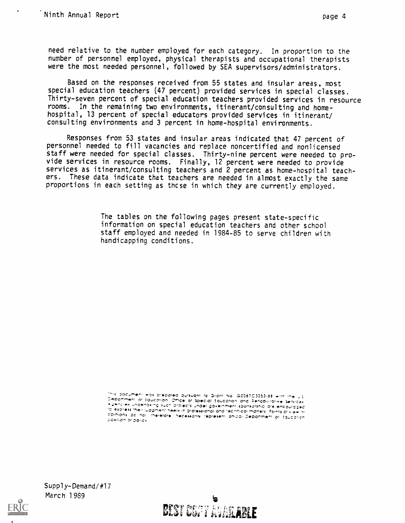Based on the responses received from 55 states and insular areas, most special education teachers (47 percent) provided services in special classes. Thirty-seven percent of special education teachers provided services in resource rooms. In the remaining two environments, itinerant/consulting and homehospital. 13 percent of special educators provided services in itinerant/ consulting environments and 3 percent in home-hospital environments.

Responses from 53 states and insular areas indicated that 47 percent of personnel needed to fill vacancies and replace noncertified and nonlicensed staff were needed for special classes. Thirty-nine percent were needed to provide services in resource rooms. Finally, 12 percent were needed to provide services as itinerant/consulting teachers and 2 percent as home-hospital teachers. These data indicate that teachers are needed in almost exactly the same proportions in each setting as those in which they are currently employed.

> The tables on the following pages present state-specific information on special education teachers and other school staff employed and needed in 1984-85 to serve children with handicapping conditions.

inis document was prepared pursuant to Grant No. G0087C3053-88 with the U.S Department of Education, Office of Special Education and Penaphilotive Services i deucles nuaeudslub sacu bloiecis nuaei õokeluwevi spausolsvip die eucontabed<br>Super Linu in seekollolli Killiam Pillenmini sillini – – TO express their ludgment treets in protessional and technical matters. Points of their of coinions do not merefore, necessarily represent offical Department or Equaction position or policy

 $Supp1y-Demand/H17$ March 1989



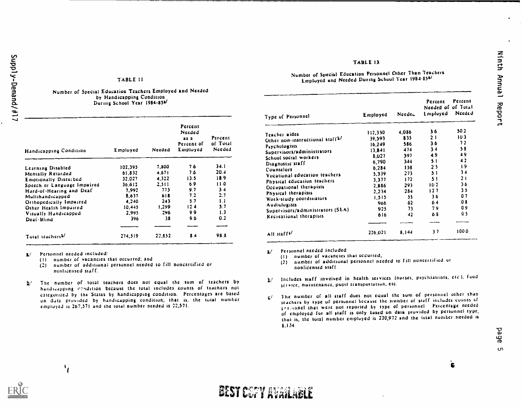### TABLE 11

#### Number of Special Education Teachers Employed and Needed by Handicapping Condition During School Year 1984-851/

| Handicapping Condition       | Employed | Needed | Percent<br>Needed<br>25 2<br>Percent of<br>Employed | $\bullet$<br>Percent<br>af Total<br>Needed |
|------------------------------|----------|--------|-----------------------------------------------------|--------------------------------------------|
| Learning Disabled            | 102.395  | 7.800  | 76                                                  | 34.1                                       |
| Mentally Retarded            | 61.832   | 4.671  | 7.6                                                 | 20.4                                       |
| Emotionally Disturbed        | 32.027   | 4.322  | 13.5                                                | 189                                        |
| Speech or Language Impaired  | 36.612   | 2.511  | 69                                                  | 110                                        |
| Hard-of-Hearing and Deaf     | 7.992    | 773    | 9.7                                                 | $3 - 4$                                    |
| Multihandicapped             | 8.637    | 618    | 7.2.                                                | 2.7                                        |
| Orthopedically Impaired      | 4.240    | 243    | 5.7                                                 | 1.1                                        |
| Other Health Impaired        | 10.445   | 1.299  | 124                                                 | 5.7                                        |
| Visually Handicapped         | 2.995    | 296    | 99                                                  | 1.3                                        |
| Deaf-Blind                   | 396.     | 38     | 96                                                  | 0.2                                        |
|                              |          |        |                                                     |                                            |
| Total teachers <sup>p/</sup> | 274.519  | 22.852 | 8.4                                                 | 98.8                                       |

Li Personnel needed included:

 $\begin{matrix} \mathbf{1}_{i} \end{matrix}$ 

- 
- (1) number of vacancies that occurred; and  $(2)$  number of additional personnel needed number of additional personnel needed to fill noncertified or nonlicensed staff,
- $h/$  The number of total teachers does not equal the sum of teachers by handr:apping c?riditton because the total includes counts of teachers not categorized by the States by handicapping condition. Percentages are based on data provided by handicapping condition; that is, the total number employed is 267,571 and the total number needed is 22,571.

### Number of Special Education Personnel Other Than Teachers Employed and Needed During School Year 1984-85s/

TABLE 13

|                                  |          |        | Percent<br>Needed of of Total | Percent        |
|----------------------------------|----------|--------|-------------------------------|----------------|
| Type of Personnel                | Employed | Needec | Employed                      | Needed         |
| Teacher aides                    | 112,330  | 4.086  | 36                            | 50.2           |
| Other non-instructional staffk/  | 39,593   | 835    | 2.1                           | 10.3           |
| Psychologists                    | 16,249   | 586    | 3.6                           | 72             |
| Supervisors/administrators       | 13,841   | 474    | 3.4                           | 58             |
| School social workers            | 8.027    | 397    | 49                            | 49             |
| Diagnostic staff                 | 6,790    | 344    | 51                            | 4.2            |
| Counselors                       | 6,284    | 158    | 25                            | 19             |
| Vocational education teachers    | 5.339    | 273    | 51                            | 34             |
| Physical education teachers      | 3.377    | 112    | 51                            | 2.1            |
| Occupational therapists          | 2.886    | 293    | 102                           | 36             |
| Physical therapists              | 2.234    | 284    | 127                           | 3 <sub>5</sub> |
| Work-study coordinators          | 1.515    | 55.    | 36                            | 07             |
| Audiologists                     | 966      | 62     | 64                            | 08             |
| Supervisors/administrators (SEA) | 925      | 73.    | 79                            | 09             |
| Recreational therapists          | 616      | 42     | 68                            | 05             |
| All staffs/                      | 226.021  | 8.144  | 37                            | 1000           |

1./ Personnel needed included:

- (I) number of vacancies that occurred,
- (2) number of additional peisonnel needed to f ill noncertif red or nonlicensed staff.
- Includes staff involved in health services (nurses, psychiatrists, etc.), food  $\mathbf{b}'$ service, maintenance, pupil transportation, etc.
- 1 he number of all staff dues not equal the sum of personnel other than  $\mathbf{S}^{\prime}$ teachers by type of personnel because the number of staff includes counts of perioanel that were not reported by type of personnel. Percentage needed of employed fur all staff is only based on data provided by personnel type; that is, thc total number cmpluycd is 220,972 and the total number needed is 8,134.

 $\epsilon$ 

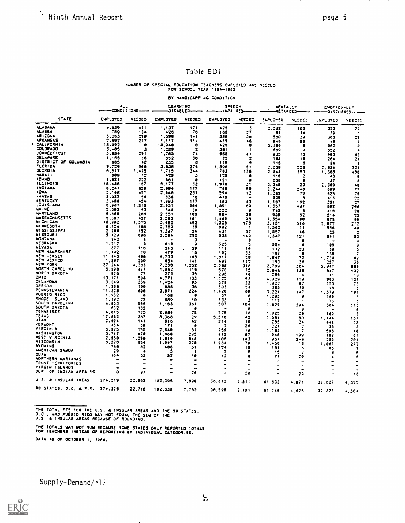$\Delta \sim 10^4$ 

 $\sim$   $\sim$ 

### Table ED1

### NUMBER OF SPECIAL EDUCATION TEACHERS EMPLOTED AND NEEDED

#### BY HANDICAPPING CONDITION

|                        | ALL<br>CONDITIONS- |                  | LEARNING<br><b>JISABLED</b> |                 | SPEECH<br>- INPA IRED-  |                | MENTALIT<br>-RETARDED-- |                          | EMOTICHALLY<br>-01STURBED----- |        |
|------------------------|--------------------|------------------|-----------------------------|-----------------|-------------------------|----------------|-------------------------|--------------------------|--------------------------------|--------|
| <b>STATE</b>           | <b>EMPLOYED</b>    | NEEDED           | EMPLOYED                    | NEEDED          | <b>EMPLOYED</b>         | <b>NEEDED</b>  | ENPLOYED                | <b>NEEDED</b>            | <b>EMPLOYED</b>                | NEEDED |
| <b>ALABAMA</b>         | 4.339              | 451              | 1,137                       | 171             | 425                     | 3              | 2.282                   | 159                      | 323                            | 77     |
| ALASKA                 | 789                | 134              | 476                         | 76              | 168                     | 27             | 81                      | 14                       | 59                             | x      |
| <b>ARIZONA</b>         | 3.363              | 258              | 1,598                       | 141             | 388                     | 38             | 550                     | 39                       | 263                            | 25     |
| <b>ARKANSAS</b>        | 2.592              | 277              | 1.117                       | 11 <sub>1</sub> | 419                     | 46             | 949                     | 89                       | 48                             | 9      |
| ×<br>CALIFORNIA        | 18,392             | $\bullet$        | 18.948                      | e               | 426                     | 8              | 3.105                   | 8                        | 962                            | э      |
| COLORADO               | 3.485              | з                | 1.259                       | 2               | 381                     | 1              | 659                     | e                        | 652                            | A      |
| <b>CONNECT I CUT</b>   | 3.884              | 281              | 1.765                       | 74              | 565                     | 41             | 935                     | 18                       | 485                            | 43     |
| JELAWARE               | 1.165              | 38               | 552                         | 36              | -72                     | 7              | 183                     | 18                       | 264                            | 24     |
| DISTRICT OF COLUMBIA   | 685                | $^{\bullet2}$    | 235                         | в               | 118                     | s              | 115                     | 6                        | 94                             | s      |
| <b>FLORIDA</b>         | 9.729              | 266              | 3.838                       | 274             | 1.396                   | 51             | 2.238                   | 228                      | 2.<br>834.                     | 321    |
| <b>GEORGIA</b>         | 6.517              | 1.495            | 1,715                       | 344             | 783                     | 176            | 2.344                   | 383                      | 1.388                          | 488    |
| <b>MARAII</b>          | 899                | -12              | 429                         | з               | 128                     | 8              | 156                     |                          | 43                             | ٠      |
| <b>I DANO</b>          | 1,821              | 222              | 561                         | $\bullet$       | 121                     | a              | 736                     | ۵                        | 37                             | a      |
| <b>ILLINOIS</b>        | 18.438             | 157              | 5.177                       | 32              | 1.976                   | 31             | 3.348                   | 23                       | Z.369                          | 49     |
| <b>INDIARA</b>         | 6.247              | 659              | 2.994                       | 177             | 769                     | 38             | 2.244                   | $2 + 8$                  | 689                            | 77     |
| <b>I CWA</b>           | 5.148              | 451              | 2.846                       | 231             | 594                     | 12             | 1.262                   | 79                       | 625                            | 76     |
| <b>KANSAS</b>          | 3.933              | 56               | 330                         | $^{\dagger}$ 8  | 415                     | $\bullet$      | 539                     | 9                        | 413                            | 22     |
| <b>KENTUCKY</b>        | 3.489              | 454              | 1.893                       | 177             | 463                     | 43             | 1.187                   | 162                      | 251                            | 27     |
| LOUISIANA              | 5.287              | 1.316            | 2.331                       | 984             | 1.891                   | 69             | 1,357                   | 487                      | 692                            | 266    |
| <b>MAINE</b>           | 2,952              | 53               | 549                         | 29              | 222                     | a              | 745                     | в                        | 418                            | 28     |
| <b>MARYLAND</b>        | 5.868              | 286              | 2.551                       | 188             | 984                     | 35             | 935                     | 62                       | 514                            | 25     |
| <b>HASSACHUSETTS</b>   | 5.387              | 427              | 2.255                       | 151             | 1.469                   | 28             | 1,354                   | 98                       | 875                            | 59     |
| <b>WICHIGAN</b>        | 19.992             | 1,515            | 3.082                       | 192             | 1.325                   | 178            | 3, 181                  | 516                      | 2.072                          | 2:2    |
| <b>MINNESOTA</b>       | 6.124              | 186              | 2.759                       | 35              | 982                     | -1             | 1.562                   | 11                       | 566                            | 48     |
| <b>WISSISSIPPI</b>     | 7.986              | 152              | 1.387                       | 54              | 431                     | 37             | 1.957                   | 46                       | 25                             |        |
| <b>MISSOURI</b>        | 5.420              | 696              | 2.294                       | 252             | 938                     | 149            | 1,347                   | 121                      | 541                            | 53     |
| <b>MONTANA</b>         | 962                | $\bullet$        |                             | ø               |                         | a              |                         | 8                        |                                | 8      |
| NESRASKA               | 1.717              | з                | 5.49                        | $\bullet$       | 325                     | ۹              | 554                     | a                        | 199                            | 8      |
| NEVADA                 | 877                | 115              | 515                         | 59              | 111                     | 15             | 112                     | 23                       | 69                             | 5      |
| <b>NEW HAMPSHIRE</b>   | 1.192              | 78               | 479                         | 15              | 192                     | 33             | 197                     | 8                        | 139                            | 7      |
| NEW JERSEY             | 11.443             | 488              | 4.733                       | 165             | 1.817                   | 58             | 1.547                   | 72                       | 1.738                          | 62     |
| NEW MEXICO             | 1,387              | 359              | 854                         | 141             | 492                     | 112            | 193                     | 36                       | 257                            | 35     |
| NEW YORK               | 27.244             | 4.383            | 7.238                       | 1,252           | 2,368                   | 318            | 2,799                   | 384                      | 5.847                          | 989    |
| NORTH CAROLINA         | 5.598              | 677              | 1.962                       | 116             | 578                     | 75             | 2.046                   | 1.38                     | 547                            | 182    |
| NORTH DAKOTA           | 876                | 77               | 273                         | 38              | 298                     | 16             | 256                     | $\blacktriangle$         | 4.7                            | 18     |
| OMIO                   | 13.171             | 584              | 4,771                       | 133             | 1.122                   | 53             | 4.929                   | 110                      | 963                            | 131    |
| OKLAHOMA               | 3.249              | 239              | 1.424                       | 93              | 378                     | 33             | 1.322                   | 67                       | 193                            | 23     |
| ORECON                 | 1.988              | 189              | 556                         | 36              | 503                     | 24             | 393                     | 20                       | 98                             | з      |
| PENNSYLVANIA           | 11.328             | 680              | 3.871                       | 224             | 1,420                   | 88             | 3.224                   | $1 + 7$                  | 1.578                          | 187    |
| PUERTO RICO            | 1.932              | е                | 168                         | a               | 37                      | e              | 1.785                   | a                        | 189                            | Ø      |
| RHODE ISLAND           | 1,182              | 22               | 689                         | 18              | 133                     | 3              | 112                     | ,                        | 73                             | 5      |
| SOUTH CAROLINA         | 4.833              | 955              | 1,153                       | 361             | 587                     | 194            | 1.529                   | 294                      | 364                            | 113    |
| SOUTH DAKOTA           | 632                | 182              |                             | $\bullet$       |                         | a              |                         | a                        |                                | a      |
| TENNESSEE              | 4,615              | 125              | 2.984                       | 75              | 775                     | 18             | 1.325                   | 26                       | 189                            | 3      |
| TEXAS                  | 17.562             | 367              | 8.368                       | 29              | 5.518                   | 42             | 1.554                   | 50                       | 1.144                          | 157    |
| UTAH                   | 2.804              | 141              | 515                         | 42              | 214                     | 16             | 255                     | 24                       | 444                            | 38     |
| <b>VERLONT</b>         | 484                | 39               | 171                         | a               |                         | 28             | 221                     |                          | 25                             | a      |
| VIRGINIA               | 5.925              | 155              | 2.849                       | 51              | 759                     | 19             | 1,185                   | ,                        | 598                            | 46     |
| WASHINGTON             | 3.747              | 470              | 1.860                       | 295             | 415                     | 57             | 946                     | 189                      | 182                            | 61     |
| <b>WEST VIRGINIA</b>   | 2.559              | 1.290            | 1.919                       | 548             | 485                     | 143            | 957                     | 348                      | 259                            | 291    |
| WISCONSIN              | 6.228              | 654              | 1.947                       | 275             | 1,234                   | 79             | 1.456                   | 18                       | 1.861                          | 272    |
| <b>NYOMING</b>         | 766                | 62               | 488                         | 31              | 124                     | 18             | 181                     | 6                        | 65                             | P      |
| AMERICAN SAMOA         | 29                 | $\blacktriangle$ | Δ                           | <sup>1</sup>    | $\overline{\mathbf{z}}$ | 9              | 15                      | 2                        | 8                              | θ      |
| <b>GUAM</b>            | 164                | 33               | 52                          | 19              | 12                      | Ð              | 71                      | 20                       | ٠                              | 9      |
| NORTHERN MARIANAS      |                    |                  | $\overline{\phantom{0}}$    | $\bullet$       | $\blacksquare$          |                | $\overline{ }$          | $\overline{\phantom{0}}$ |                                |        |
| TRUST TERRITORIES      |                    | $\blacksquare$   | $\bullet$                   | $\rightarrow$   |                         | $\rightarrow$  |                         | $\overline{\phantom{a}}$ |                                |        |
| VIRGIN ISLANDS         |                    |                  |                             | --              |                         | $\blacksquare$ |                         |                          |                                |        |
| BUR. OF INDIAN AFFAIRS | ٥                  | 97               |                             | 26              |                         | 20             |                         | 23                       |                                | 18     |
| U.S. & INSULAR AREAS   | 274.519            | 22.852           | 182,395                     | 7.599           | 36, 612                 | 2.511          | 51,532                  | 4,671                    | 32.827                         | 4.322  |
| 50 STATES, D.C. & P.R. | 274,326            | 22,718           | 102.338                     | 7.763           | 36.598                  | 2.491          | 61,746                  | 4.626                    | 32.023                         | 4.384  |

THE TOTAL FTE FOR THE U.S. & INSULAR AREAS AND THE 58 STATES.<br>D.C., AND PUERTO RICO MAY NOT EQUAL THE SUM OF THE U.S. & INSULAR AREAS BECAUSE OF ROUNDING.

THE TOTALS HAY NOT SUN BECAUSE SOME STATES ONLY REPORTED TOTALS<br>FOR TEACHERS INSTEAD OF REPORTING BY INSIVIDUAL CATEGORIES. DATA AS OF OCTOBER 1, 1988.

 $\sim$ 

 $\mathcal{L}_{\mathcal{A}}$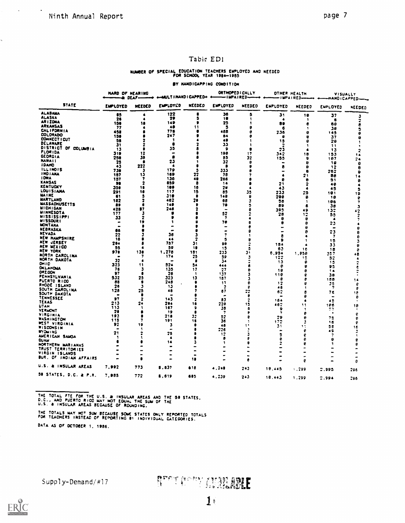$\mathcal{A}^{\pm}$ 

ä,

 $\sim 10^4$ 

### Tabic ED1

### NUMBER OF SPECIAL EDUCATION TEACHERS EMPLOYED AND NEEDED

BY HANDICAPPING CONDITION

|                                     | <b>NARD OF HEARING</b><br>— 1 DEAF — |                         | +-MULTIMANDICAPPED+      |                | ORTHOPED I CALLY<br>-impaired- |        | <b>OTHER HEALTH</b><br>-IMPAIRED- |                  | VISUALLY<br>-HANDICAPPED-- |         |
|-------------------------------------|--------------------------------------|-------------------------|--------------------------|----------------|--------------------------------|--------|-----------------------------------|------------------|----------------------------|---------|
| <b>STATE</b>                        | EMPLOYED                             | NEEDED                  | EMPLOYED                 | NEEDED         | <b>EMPLOYED</b>                | NEEDED | ENPLOYED                          | NEEDED           | EMPLOYED                   | NEEDED  |
| <b>ALABAMA</b>                      | 85                                   | ٠                       | 122                      | 8              | 36                             | 5      | 31                                | 18               | 37                         | 2       |
| ALASKA<br>AR I ZONA                 | 26                                   | ٠                       | 29                       | S              | 18                             |        | $\bullet$                         | ÷                | ۰                          | 2       |
| ARKANSAS                            | 158                                  | 18                      | 149                      | в              | 25                             |        | 89                                | 6                | 68                         | 8       |
| <b>CALIFORNIA</b>                   | 77                                   |                         | 40<br>778                |                | 5<br>468                       |        | 6                                 | ा                | 28                         | э       |
| COLORADO                            | 458<br>150                           |                         | 247                      |                | 84                             |        | 236<br>8                          | 8                | 145                        | e       |
| CONNECT I CUT                       | 58                                   |                         | 1                        |                | 49                             |        | 15                                | 8<br>0           | 37<br>29                   |         |
| DELAWARE                            | 31                                   |                         | 8                        |                | 33                             |        | 2                                 | ۹                | 11                         |         |
| DISTRICT OF COLUMBIA                | 13                                   |                         | 35                       |                | $\bullet$                      |        | 23                                | $\blacktriangle$ | 13                         |         |
| <b>FLORIDA</b><br><b>GEORGIA</b>    | 319                                  | 12                      | $\overline{\phantom{0}}$ |                | 198                            | 17     | 342                               | 18               | 153                        | 14      |
| <b>NAWAII</b>                       | 258                                  | 38                      | ∙                        |                | 85                             | 32     | 155                               | ٠                | 187                        | 24      |
| <b>IDARD</b>                        | 25                                   |                         | 23<br>Δ                  |                | 32<br>е                        | Ω      | -                                 | €                | 18                         | e       |
| <b>ILLINOIS</b>                     | 43<br>738                            | 222<br>з                | 179                      | 5              | 333                            |        | 8<br>$\overline{\phantom{0}}$     | 9                | 12                         | я       |
| <b>INDIANA</b>                      | 187                                  | 15                      | 189                      | 22             | 78                             |        | 4                                 | e<br>21          | 762<br>88                  | a       |
| <b>IOWA</b>                         | 157                                  | 7                       | 136                      | 48             | 266                            |        | e                                 | ۰                | 51                         | e       |
| KANSAS                              | m                                    | 2                       | 859                      | 8              | 14                             |        | 21                                | 2                | 48                         |         |
| KENTUCKY                            | 350                                  | 18                      | 189                      | 16             | 28                             |        | 43                                | $\ddot{\bullet}$ | 45                         | з       |
| <b>LOUISIANA</b><br><b>MAINE</b>    | 291                                  | 18                      | 117                      | 15             | 85                             | 35     | 233                               | 25               | 181                        | 19      |
| <b>MARYLAND</b>                     | 61                                   | 5<br>2                  | 319<br>482               | 20             | 148                            | 9      | 296                               | 8                | 18                         | e       |
| <b>MASSACHUSETTS</b>                | 182<br>89                            | 6                       | 148                      | П              | 65<br>79                       | з      | 56                                | -1               | 106                        | 7       |
| <b>MICHIGAN</b>                     | 428                                  | 87                      | 246                      | 2              |                                |        | 89<br>395                         | e                | 3e                         | 3       |
| <b>HINNESOTA</b>                    | 177                                  | з                       | ø                        |                | 52                             |        | 28                                | 49<br>12         | 135<br>55                  | 42      |
| <b>MISSISSIPPI</b>                  | 33                                   | $\overline{\mathbf{z}}$ | G                        |                | $\overline{\mathbf{z}}$        |        | 9                                 | ۰                | $\bullet$                  | 2<br>7  |
| <b>WISSOURI</b>                     | $\bullet$                            | 19                      | 1                        |                | 70                             |        | 8                                 | ₿                | 23                         |         |
| <b>MONTANA</b><br>NEBRASKA          | ۰.                                   | £                       | -                        |                |                                | e      | $\blacksquare$                    | е                | $\blacksquare$             |         |
| <b>NEVADA</b>                       | 86                                   |                         |                          |                | ۰                              | £      |                                   | ß                | 23                         | e       |
| <b>NEW HAMPSHIRE</b>                | 22<br>16                             |                         | 36<br>$\bullet\bullet$   |                | 7                              |        | 8                                 |                  | -7                         | 9       |
| NEW JERSEY                          | 294                                  |                         | 787                      | 31             | 5<br>98                        | B      | Ð                                 |                  | 15                         | 3       |
| NEW MEXICO                          | 55                                   | 4                       | 59                       | 18             | 15                             | £,     | 184<br>63                         |                  | 33                         | e       |
| NEW YORK                            | 978                                  | 138                     | 1,278                    | 181            | 233                            | J,     | 5.954                             | 16<br>,,,,,      | 18<br>357                  | 9       |
| NORTH CAROLINA                      | $\bullet$                            | 7                       | 174                      | 25             | 59                             | 3      | 122                               | 15               | 52                         | 68      |
| NORTH DAKOTA                        | 32                                   | ٠                       | $\blacksquare$           | - 6            | 34                             |        | 13                                | 9                | 15                         |         |
| OHIO<br>DKLANOMA                    | 323                                  | 11                      | 524                      | 54             | 444                            | 6      | e                                 | 8                | 95                         | ĉ       |
| <b>DREGON</b>                       | 76                                   | з                       | 135                      | -17            | 27                             | 9      | 18                                | e                | 14                         |         |
| PENNSYLVANIA                        | 97<br>532                            | 0<br>25                 | 26<br>323                | -1<br>13       | 137<br>187                     | 2      | 116                               | €                | Зe                         |         |
| PUERTO RICO                         | 88                                   | ٠                       | 248                      | ٠              | -11                            | 3<br>٥ | e                                 | e                | 158                        | 14      |
| RHODE ISLAND                        | 26                                   | з                       | 13                       | c              | 2                              | e      | 12<br>46                          | 6<br>٠           | 28<br>7                    | ٥       |
| SOUTH CAROLINA                      | 128                                  | 25                      | 46                       |                | 67                             | 27     | 62                                | в                | 7 E                        | e<br>16 |
| SOUTH DAKOTA<br>TENNESSEE           | $\bullet$                            |                         | -                        |                | -                              | 8      |                                   | e                | $\blacksquare$             | ₿       |
| TEXAS                               | $\overline{ }$                       | 2                       | 343                      | 2              | 83                             | 2      | 164                               | 4                | 45                         |         |
| UTAN                                | 213<br>113                           | 24<br>1                 | 204<br>167               | 16             | 220                            | 15     | 467                               | 11               | 186                        | 18      |
| <b>VERMONT</b>                      | 20                                   | 8                       | 19                       | 9              | 35<br>7                        | в<br>P | ۰                                 | 1                | 77                         |         |
| VIRGINIA                            | 193                                  |                         | 218                      | 32             | 52                             |        | ,<br>29                           | e                | $\bullet$                  | e       |
| WASHINGTON                          | 115                                  |                         | 191                      | 18             | 36                             | -1     | 172                               | 9                | 72<br>16                   | е       |
| <b>WEST VIRGINIA</b>                | 92                                   | 19                      | з                        |                | 48                             |        | 33                                | 11               | 52                         | ę<br>16 |
| <b>WISCONSIN</b><br><b>WYOM ING</b> |                                      | 1                       | $\blacksquare$           |                | 22e                            |        | $\mathbf{r}$                      | 6                | 49                         |         |
| AMERICAN SAMOA                      | 21                                   |                         | 25                       |                | 12                             |        | 5                                 | e                |                            |         |
| CUAM                                | 3                                    | ٩                       | $\bullet$                |                | ₿                              |        | е                                 | ₿                | e                          | a       |
| HORTHERN MARIANAS                   |                                      |                         | 14                       |                | ۹                              |        | 2                                 | e                |                            |         |
| TRUST TERRITORIES                   |                                      |                         | $\bullet$                | $\blacksquare$ |                                |        |                                   |                  |                            |         |
| VIRGIN ISLANDS                      |                                      | ٠                       |                          |                |                                |        | -                                 |                  |                            |         |
| BUR, OF INDIAN AFFAIRS              |                                      |                         |                          | 18             |                                |        |                                   | 0                |                            | ø       |
| U.S. & INSULAR AREAS                | 7.992                                | 773                     | 8.637                    | 618            | 4,248                          | 243    | 18,445                            | 1.299            | 2.995                      | 296     |
| 50 STATES, D.C. & P.R.              | 7,985                                | 772                     | 8,619                    | 685            | 4.239                          | 243    | 18.443                            | 1.299            | 2.994                      | 296     |

THE TOTAL FTE FOR THE U.S. & INSULAR AREAS AND THE 50 STATES,<br>D.C., AND PUERTO RICO MAY NOT EQUAL THE SUM OF THE U.S. & INSULAR AREAS BECAUSE OF ROUNDING,

THE TOTALS MAY NOT SUM BECAUSE SOME STATES ONLY REPORTED TOTALS<br>FOR TEACHERS INSTEAD OF REPORTING 81 INDIVIDUAL CATEGORIES. DATA AS OF OCTOBER 1, 1986.

Supply-Demand/#17

# RUGE TE LA MARIA BELE

 $1<sub>6</sub>$ 

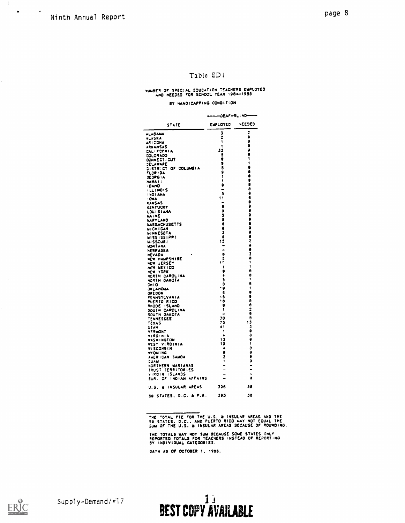$\Lambda_{\rm c}$ 

 $\mathcal{A}$ 

 $\bullet$ 

 $\sim$   $\bullet$ 

### Table EDI

# NUMBER OF SPECIAL EDUCATION TEACHERS EMPLOYED<br>AND NEEDED FOR SCHOOL YEAR 1984-1985

#### BY HANDICAPPING CONDITION

|                                               | OEAF-BLIND- |                          |  |  |  |  |
|-----------------------------------------------|-------------|--------------------------|--|--|--|--|
| STATE                                         | EMPLOYED    | NEEDED                   |  |  |  |  |
| <b>ALABAMA</b>                                | J           | 2                        |  |  |  |  |
| ALASKA                                        | Ž           | 8                        |  |  |  |  |
| ARI ZONA                                      | ١           | ø                        |  |  |  |  |
| ARKANSAS                                      | ţ<br>33     | 0<br>٥                   |  |  |  |  |
| <b>CALIFORNIA</b>                             | ĉ           | ٥                        |  |  |  |  |
| COLORADO<br>CONNECT : CUT                     | 0           | t                        |  |  |  |  |
| JELAWARE                                      | 9           | ١                        |  |  |  |  |
| <b>LISTRICT</b><br>٥F<br><b>COLUMBIA</b>      | 8           | 8                        |  |  |  |  |
| Flor : Da                                     | 9           | ٥                        |  |  |  |  |
| œdreia                                        | ŧ           | ۵<br>8                   |  |  |  |  |
| <b>NAWAII</b>                                 | ١<br>٠      | ð                        |  |  |  |  |
| <b>I DAMO</b><br>ILLINOIS                     | -           | 8                        |  |  |  |  |
| <b>INDIANA</b>                                | 3           | ð                        |  |  |  |  |
| <b>ICMA</b>                                   | 11          | 6                        |  |  |  |  |
| <b>KANSAS</b>                                 | $\bullet$   | \$                       |  |  |  |  |
| <b>KENTUCKY</b>                               | ð           | ē                        |  |  |  |  |
| LOUISIANA                                     | 9<br>5      | ē                        |  |  |  |  |
| MA I NE<br>MARYLAND                           | ø           | .<br>8                   |  |  |  |  |
| <b>MASSACHUSETTS</b>                          | 6           | ê                        |  |  |  |  |
| <b>MICHIGAN</b>                               | 8           | ٥                        |  |  |  |  |
| hinnesota                                     | 3           | ê                        |  |  |  |  |
| <b>WISSISSIPPI</b>                            | 8           | 9                        |  |  |  |  |
| <b>MISSOURI</b>                               | 15          | 2<br>9                   |  |  |  |  |
| <b>MONTANA</b>                                | -           | ō                        |  |  |  |  |
| NEBRASKA<br>NEVADA                            | 8           | š                        |  |  |  |  |
| NEW HAMPSHIRE                                 | 5           | ð                        |  |  |  |  |
| JERSEY<br>nEW                                 | 17          | ١                        |  |  |  |  |
| NEW MEXICO                                    | ţ           | ١                        |  |  |  |  |
| <b>YORK</b><br>NEW.                           | 9           | 8<br>a                   |  |  |  |  |
| NORTH CAROLINA                                | 4<br>Ĵ      | 1                        |  |  |  |  |
| NORTH DAKOTA<br>CH I O                        | ð           | 8                        |  |  |  |  |
| OKLAHOMA                                      | 19          | ĩ                        |  |  |  |  |
| <b>ORE CON</b>                                | ß           | ۰                        |  |  |  |  |
| PENNSYLVANIA                                  | 15          | 9                        |  |  |  |  |
| PUERTO RICO                                   | 18          | ê<br>ð                   |  |  |  |  |
| <b>ISLAND</b><br>RHODE<br>SOUTH CAROLINA      | 8<br>١      | ż                        |  |  |  |  |
| SOUTH DAKOTA                                  |             | e                        |  |  |  |  |
| TENNESSEE                                     | 30          | 8                        |  |  |  |  |
| <b>TEXAS</b>                                  | 75          | ۱3                       |  |  |  |  |
| UTAN                                          | 41          | 2                        |  |  |  |  |
| VERMONT                                       | 1<br>4      | ٥<br>8                   |  |  |  |  |
| VIRGINIA<br><b>WASHINGTON</b>                 | 13          | 9                        |  |  |  |  |
| <b>WEST VIRGINIA</b>                          | 19          | 1                        |  |  |  |  |
| WISCONSIN                                     | 4           | 9                        |  |  |  |  |
| <b>WYOM ING</b>                               | ø           | θ                        |  |  |  |  |
| AMERICAN SAMOA                                | 2           | 0                        |  |  |  |  |
| Cuaw                                          | Ī<br>-      | 0                        |  |  |  |  |
| NORTHERN MARIANAS<br><b>TRUST TERRITORIES</b> |             | $\overline{\phantom{a}}$ |  |  |  |  |
| VIRGIN ISLANDS                                |             |                          |  |  |  |  |
| INDIAN AFFAIRS<br>BUR.<br>OF.                 |             | ė                        |  |  |  |  |
| INSULAR AREAS<br>U.S.<br>٠                    | 396         | 38                       |  |  |  |  |
| 59. STATES, D.C. & P.R.                       | 393         | 38                       |  |  |  |  |

THE TOTAL FTE FOR THE U.S. & INSULAR AREAS AND THE<br>58 STATES, D.C., AND PUERTO RICO WAY NOT EQUAL THE<br>SUM OF THE U.S. & INSULAR AREAS BECAUSE OF ROUNDING.

THE TOTALS WAY NOT SUM BECAUSE SOME STATES ONLY<br>REPORTED TOTALS FOR TEACHERS INSTEAD OF REPORTING<br>BY INDIVIDUAL CATEGORIES.

DATA AS OF OCTOBER 1, 1988.

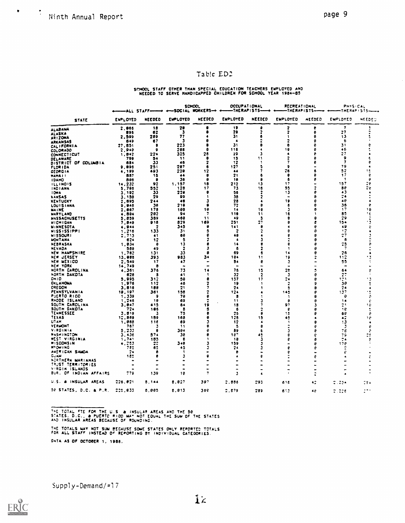$\blacklozenge$ 

### Table ED2

## SCHOOL STAFF OTHER THAN SPECIAL EDUCATION TEACHERS EMPLOYED AND NEEDED TO SERVE HANDICAPPED CHILDREN FOR SCHOOL YEAR 1984-85

|                                  | —ALL STAFF——<br>$\rightarrow$ |           | <b>SCHOOL</b><br>+-SOCIAL WORKERS-+ |                      | OCCUPATIONAL<br>-THERAPISTS- |                          | <b>RECREATIONAL</b><br>-THERAPISTS- |               | PHYSICAL<br>-THERAP ISTS- |                  |
|----------------------------------|-------------------------------|-----------|-------------------------------------|----------------------|------------------------------|--------------------------|-------------------------------------|---------------|---------------------------|------------------|
| <b>STATE</b>                     | <b>ENPLOYED</b>               | NEEDED    | <b>EMPLOYED</b>                     | NEEDED               | <b>EUPLOYED</b>              | NEEDED                   | EMPLOYED                            | <b>NEEDED</b> | EMPLOYED                  | NEEDED           |
| <b>ALABAMA</b>                   | 2,866                         | 18        | 78                                  | a                    | 19                           | a                        | 2                                   | ŧ             | 7                         | ٦                |
| <b>ALASKA</b>                    | 896                           | 82        | 3                                   |                      | 28                           |                          | 2                                   | 8             | 27                        |                  |
| AR1ZONA                          | 2,599                         | 289       | 77                                  |                      | 31                           |                          | 1                                   | 8             | 13                        |                  |
| ARKANSAS                         | 549                           | 67        | Г                                   |                      | $\ddot{\bullet}$             |                          | 2                                   | e             | 6                         |                  |
| CALIFORNIA                       | 27.851                        | 8         | 223                                 |                      | 31                           |                          | a                                   | e             | 31                        |                  |
| COLORADO                         | 2.948                         | 9         | 288                                 | 8                    | 116                          | л                        | 18<br>4                             | ø<br>А        | 46<br>27                  |                  |
| <b>CONNECTICUT</b>               | 1,842<br>799                  | 224<br>54 | 325<br>-11                          | 28<br>8              | 29<br>15                     | 11                       |                                     |               | 9                         |                  |
| DELAWARE<br>DISTRICT OF COLUMBIA | 684                           | 33        | 48                                  | 2                    | 12                           |                          | 7                                   |               | 7                         | e                |
| <b>FLORIDA</b>                   | 9.096                         | 251       | 287                                 | 6                    | 127                          |                          | ٥                                   |               | 79                        |                  |
| <b>GEORGIA</b>                   | 4,199                         | 493       | 220                                 | 12                   | 44                           |                          | 76                                  |               | 52                        | ۱.               |
| <b>NAWAII</b>                    | 887                           | 18        | 44                                  | 9                    | 21                           |                          | 8                                   |               | 17                        | 6                |
| <b>IDANO</b>                     | 596                           | 8         | 36                                  | 8                    | 18                           |                          | 6                                   |               | -1                        | e                |
| <b>ILLINOIS</b>                  | 14,232                        | 92        | 1,157                               | 18                   | 212                          | 13                       | 17                                  |               | 157                       | 26               |
| INDIANA                          | 5.786                         | 552       | 128                                 | 17                   | 73                           | 18                       | 55                                  |               | 86                        | 2e               |
| IOWA                             | 3.192                         | 33        | 220                                 | 6                    | 58                           |                          | 13                                  |               | 43                        | $\blacktriangle$ |
| <b>KANSAS</b>                    | 3,158                         | 29        | 99                                  |                      | 38                           |                          | $\blacksquare$                      |               | 24<br>40                  |                  |
| <b>KENTUCKY</b>                  | 2,695                         | 244<br>38 | 49<br>218                           | в<br>٠               | 28<br>72                     |                          | 19<br>6                             |               | 36                        | e                |
| <b>LOUISIANA</b><br>MAINE        | 9.946<br>2.867                | 178       | 108                                 | 18                   | 14                           | 18                       | з                                   |               | 17                        | 19               |
| MARYLAND                         | 4.884                         | 282       | 94                                  | 7                    | 118                          | 11                       | 16                                  |               | 85                        | ۱¢               |
| <b>NASSACHUSETTS</b>             | 5,859                         | 389       | 469                                 | -11                  | 49                           | 5                        | 8                                   |               | 29                        |                  |
| <b>MICHIGAN</b>                  | 7.848                         | 918       | 829                                 | 169                  | 251                          | 27                       | e                                   |               | 154                       | 2                |
| <b>MINNESOTA</b>                 | 4.944                         | 2         | 345                                 | 9                    | 141                          | 8                        |                                     | a             | 49                        | ê                |
| <b>MISSISSIPPI</b>               | 1,218                         | 133       | 31                                  | ā                    | 2                            |                          | я                                   | 0             | $\overline{\mathbf{1}}$   | ٠                |
| <b>MISSOURI</b>                  | 7,713                         | 41        | 68                                  | Ð                    | 48                           |                          |                                     | я             | 27                        |                  |
| MONTANA                          | 624                           | 12        | ÷.                                  |                      | A                            |                          |                                     | Ĥ             | 6                         |                  |
| NEBRASKA                         | 1.834                         | ₿         | 13                                  |                      | 14                           |                          | 8                                   |               | 25                        |                  |
| NEVADA                           | 588                           | 49        | 2                                   | з                    | 8                            | 2                        |                                     | 9             | $\overline{\mathbf{z}}$   |                  |
| <b>NEW HAMPSHIRE</b>             | 1,762                         | 131       | 33                                  | 9                    | 69                           | 6                        | 14                                  | 9             | 26                        |                  |
| NEW JERSEY<br>NEW MEXICO         | 13,988<br>2.549               | 393<br>17 | 983<br>47                           | 34                   | 104<br>84                    | 11<br>8                  | 19                                  |               | 112<br>55                 |                  |
| NEW YORK                         | 16,749                        | 8         | ٠                                   |                      |                              |                          | 3<br>$\tilde{\phantom{a}}$          |               | $\blacksquare$            |                  |
| NORTH CAROLINA                   | 4.361                         | 378       | 73                                  | 14                   | 76                           | 15                       | 28                                  |               | 64                        |                  |
| NORTH DAKOTA                     | 620                           | В         | 41                                  | -1                   | 32                           | 2                        | з                                   | 8             | $\mathbb{C}^{\bullet}$    |                  |
| $0 \times 10$                    | 5.995                         | 312       | 58                                  | e                    | 157                          | 17                       | 24                                  | £             | 121.                      |                  |
| OKLAHOMA                         | 1.976                         | 112       | 46                                  | 2                    | 19                           | ÷                        |                                     | 9             | 50                        |                  |
| <b>ORE GON</b>                   | 3.818                         | 188       | $\mathbf{2}$                        | 7                    | 24                           |                          | ā                                   | Ð             | 24                        | $\blacktriangle$ |
| PENNSYLVANIA                     | 19,197                        | 361       | 158                                 |                      | 124                          |                          | 145                                 | ø             | 137                       |                  |
| <b>PUERTO RICO</b>               | 1.339                         | ٠         | 78                                  | ₿                    | 8                            |                          | ÷.                                  | я             | e                         | e                |
| RHODE ISLAND                     | 1,246                         | - 18      | 69                                  | $\ddot{\phantom{a}}$ | 11                           |                          | 8                                   | ρ             | 16                        | ŧ                |
| SOUTH CAROLINA<br>SOUTH DAKOTA   | 3.847<br>724                  | 415       | 54                                  | 19                   | 18                           |                          | 97                                  |               | 21                        | 16               |
| TENNESSEE                        | 3.819                         | 185<br>3  | 8<br>75                             | 5<br>₿               | 6<br>25                      | Я                        | e<br>15                             |               | 18<br>56                  | ÷<br>ę           |
| TEXAS                            | 12,860                        | 189       | 168                                 | ٠                    | 128                          | 15                       | 45                                  |               | 42                        | ۽ ۽              |
| UTAH                             | 1,858                         | 11E       | 69                                  |                      | 12                           | 4                        | ÷                                   |               | 13                        | 4                |
| <b>VERMONT</b>                   | 767                           | Δ         | 11                                  | 8                    | 5                            | 8                        |                                     |               | 3                         | e                |
| VIRGINIA                         | 5.232                         | 8         | 384                                 | e                    | 89                           | 6                        |                                     | ρ             | 7e.                       | e                |
| <b>WASHINGTON</b>                | 3.436                         | 574       | 38                                  | ٩                    | 187                          | 45                       | θ                                   | ę             | 79                        |                  |
| WEST VIRGINIA                    | 1.741                         | 183       | ß                                   | в.                   | 18                           | 3                        | Р                                   | a             | 24                        | e                |
| WISCONSIN                        | 4,253                         | 22        | 348                                 | 3                    | 159                          | 3                        |                                     | θ             | 178                       |                  |
| <b>WYOM ING</b>                  | 722                           | 65        | 45                                  |                      | 24                           |                          |                                     |               | $\tilde{z}$               |                  |
| AMERICAN SAMOA<br><b>انده</b> ب2 | 7.6                           | я         | ÷.                                  |                      | e                            |                          |                                     |               | €                         |                  |
| NORTHERN MARIANAS                | 125                           | e         | з                                   | 9                    |                              |                          |                                     |               | ٠                         |                  |
| <b>TRUST TERRITORIES</b>         |                               |           |                                     |                      |                              | $\overline{\phantom{0}}$ |                                     |               | <b>-</b>                  |                  |
| VIRGIN ISLANDS                   |                               |           |                                     |                      |                              |                          |                                     |               | -                         |                  |
| BUR.<br>OF INDIAN AFFAIRS        | 779                           | 139       | 18                                  | 7                    | з                            | $\blacktriangle$         |                                     |               | $\blacktriangle$          |                  |
| U.S. & INSULAR AREAS             | 226.021                       | 8,144     | 8.827                               | 397                  | 2.556                        | 293                      | 616                                 | 42            | $7.23 -$                  | 284              |
| 58 STATES, D.C. & P.R.           | 229.833                       | 8,885     | 8.813                               | 398                  | 2.879                        | 289                      | 613                                 | 48            | 7.226                     |                  |

THE TOTAL FTE FOR THE U.S. & INSULAR AREAS AND THE 50<br>STATES, D.C., & PUERTO RICO MAY NOT EQUAL THE SUM OF THE STATES<br>AND INSULAR AREAS BECAUSE OF ROUNDING.

THE TOTALS WAY NOT SUM BECAUSE SOME STATES ONLY REPORTED TOTALS FOR ALL STAFF INSTEAD OF REPORTING BY INDIVIDUAL CATEGORIES. DATA AS OF OCTOBER 1, 1986.

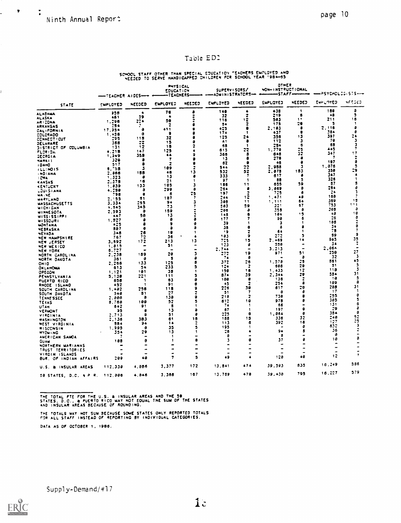$\mathbf{r} = \mathbf{r}$ 

I.

 $\sim$  7  $\,$ 

### Table ED2

SCHOOL STAFF OTHER THAN SPECIAL EDUCATION "EACHERS EMPLOYED AND NEEDED TO SERVE HANDICAPPED CHILDREN FOR SCHOOL YEAR 1984-03

|                                         | -TEACHER AIDES-          |                          | <b>PHYSICAL</b><br>EDUCATION<br>-TEACHERS- |        | SUPERVISORS/<br><--- ADMINISTRATORS- |                         | OTHER<br>NON-INSTRUCTIONAL | -STAFF <del>--------</del> | $-25YCHCL2G(515--$   |                                |
|-----------------------------------------|--------------------------|--------------------------|--------------------------------------------|--------|--------------------------------------|-------------------------|----------------------------|----------------------------|----------------------|--------------------------------|
| STATE                                   | EMPLOTED                 | NEEDED                   | <b>EMPLOYED</b>                            | NEEDED | ENPLOYED                             | NEEDEJ                  | EMPLOTED                   | NEEDED                     | EUPLOYED             | NF SOLD                        |
|                                         | 95 B                     | ٠                        | 76                                         |        | 148                                  | ٠                       | 438                        | 1                          | 189                  | э                              |
| <b>ALABAMA</b><br>ALASKA                | 461                      | 39                       | ٠                                          |        | 32                                   | 2                       | 219                        | в                          | 48                   | 5                              |
| AR I ZONA                               | 1.296                    | 224                      | 50                                         |        | 115                                  | 12                      | 583                        | $\mathbf{1}$               | 211                  | 18                             |
| ARKANSAS                                | 254                      | ÷                        | 2                                          |        | 34                                   |                         | 175                        | 29                         | э                    | -1<br>a                        |
| CALIFORNIA                              | 17.254                   | a                        | <b>ASS</b>                                 |        | 425                                  | a<br>f.                 | 2.103                      | a                          | . 116<br>384         | a                              |
| COLORADO                                | 1,456                    | ٥                        | ٠                                          |        | 174                                  | 24                      | 437<br>398                 | 13                         | 397                  | 24                             |
| <b>CONNECTICUT</b>                      | 295                      | 115                      | 32                                         |        | 125<br>A1                            | ٠                       | 112                        | 3                          | 78                   | з                              |
| JELANARE                                | 388                      | 22                       | 19<br>18                                   |        | 68                                   | -1                      | 254                        | б                          | 68                   | 3                              |
| <b>DISTRICT OF</b><br><b>COLUMBIA</b>   | 131                      | 12<br>147                | 125                                        |        | 615                                  | 22                      | 1,778                      |                            | 445                  |                                |
| FLORIDA                                 | 4.218<br>1,249           | 358                      | 44                                         |        | 366                                  | 8                       | 648                        | 32                         | 347                  | 17                             |
| <b>GEORGIA</b><br>HAWA! I               | 320                      | a                        | 7                                          |        | 13                                   | a                       | 279                        |                            | -7                   | 7                              |
| <b>IDANO</b>                            | 517                      | ٥                        | 2                                          |        | 82                                   | ٥                       | 48                         | Ω                          | 187                  | ð                              |
| ILLINOIS                                | 5.755                    | 3                        | 109                                        |        | 544                                  | 22                      | 2.958                      | з                          | 1.876<br>350         | ā<br>29                        |
| <b>INDIANA</b>                          | 2.366                    | 188                      | 48                                         | 13     | 532                                  | 52                      | 2.878                      | 183<br>÷                   | 347                  |                                |
| <b>I CYA</b>                            | 1.323                    | ð                        | 13                                         |        | 333                                  | 7<br>1                  | 617<br>88                  | 3                          | 326                  |                                |
| <b>KANSAS</b>                           | 2,175                    | 16                       | 21                                         |        | 97<br>186                            | 11                      | 655                        | 59                         | 87                   |                                |
| KENTUCKY                                | 1.839                    | 133                      | 105<br>299                                 | a      | 264                                  | a                       | 3.869                      | 8                          | 284                  |                                |
| LOUISIANA                               | 1.239<br>798             | a<br>e                   | 6                                          | 25     | 197                                  | ٠                       | 725                        | a                          | 24                   |                                |
| <b>MA, NE</b>                           | 2.155                    | 51                       | 187                                        | 7      | 244                                  | 13                      | 1.471                      | 48                         | 158                  |                                |
| <b>MARYLAND</b><br><b>MASSACHUSETTS</b> | 3.334                    | 255                      | 94                                         |        | 398                                  | 11                      | 1,111                      | 64                         | 369                  | 15                             |
| <b>MICHIGAN</b>                         | 1.945                    | 345                      | 73                                         |        | <b>183</b>                           | 59                      | 221                        | 57                         | 753                  | 111                            |
| <b>WINNESOTA</b>                        | 2.593                    | 9                        | 159                                        |        | 206                                  | a                       | 358                        | a                          | 308                  | ð<br>18                        |
| <b>MISSISSIPPI</b>                      | 447                      | 50                       | 13                                         |        | 145                                  |                         | 194                        | ٠,                         | 48<br>26             |                                |
| <b>WISSOURI</b>                         | 1,527                    | ٥                        | ø                                          |        | 177                                  |                         | 90<br>з                    |                            | 195                  |                                |
| WONTANA                                 | 425                      | a                        | э                                          | a<br>a | 39<br>38                             |                         | a                          |                            | 34                   | 8                              |
| <b>NESRASKA</b>                         | 887                      | ۰                        | э<br>19                                    | ٠      | ۰,                                   |                         | 64                         |                            | 78                   | 7                              |
| NEVADA                                  | 348<br>767               | 76<br>72                 | 36                                         | ٠      | 183                                  | ۰                       | 272                        | 5                          | 89                   | 9                              |
| <b>NEW HAMPSHIRE</b>                    | 3.692                    | 172                      | 213                                        | 13     | 725                                  | 15                      | 2.469                      | 14                         | 965                  | 35                             |
| NEW JERSEY<br>NEW MEXICO                | 1,313                    | $\overline{\phantom{a}}$ | 51                                         | ۰      | 123                                  | a                       | 558                        | $\blacksquare$             | 34                   | $\overline{\cdot}$             |
| NEW YORK                                | 8.727                    | ٠                        | $\ddot{\phantom{1}}$                       |        | $2.7 - 4$                            | ٠                       | 3.213                      | $\overline{\phantom{0}}$   | 2.064                | $\overline{\phantom{0}}$<br>27 |
| NORTH CAROLINA                          | 2,238                    | 189                      | 28                                         |        | 273                                  | 19                      | 971                        | 51                         | 250                  | 3                              |
| NORTH DAKOTA                            | 361                      | ə                        | s                                          |        | 74                                   | ø                       |                            | в                          | -32<br>851           | 45                             |
| OHIO                                    | 2,266                    | 133                      | 125                                        |        | 372                                  | 26<br>2                 | 1.578<br>698               | 25<br>29                   | 51                   | 5                              |
| OKLAHOMA                                | 613                      | 54                       | 233                                        |        | 124<br>150                           | 18                      | 1,433                      | 12                         | 118                  | 3                              |
| ORECON                                  | 1.121                    | 181                      | 38<br>111                                  |        | 874                                  | 39                      | 2,344                      | 29                         | 584                  | 31                             |
| PENNSYLVANIA                            | 5.138<br>555             | 221<br>-1                | 63                                         |        | 188                                  | e                       | 136                        | 2                          | - 19                 | 5                              |
| PUERTO RICO<br>RHODE ISLAND             | 457                      | -1                       | 91                                         |        | - 13                                 | 2                       | 254                        | a                          | 189                  | 8                              |
| SOUTH CAROLINA                          | 1.432                    | 758                      | 118                                        |        | 276                                  | 39                      | 617                        | 20                         | 288                  | 31                             |
| SOUTH DAKOTA                            | $3 + 8$                  | 81                       | 27                                         |        | 51                                   | 7                       | a                          | a                          | $\frac{17}{2}$       | 1                              |
| <b>TENNESSEE</b>                        | 2.008                    | ٥                        | 138                                        |        | 218                                  | $\overline{\mathbf{z}}$ | 738                        |                            | 255<br>385           |                                |
| <b>TEXAS</b>                            | 5.768                    | 100                      | 52                                         |        | 612                                  | 19                      | 978<br>66                  | ø                          | 131                  |                                |
| UTAH                                    | 842                      | 91                       | 8                                          | ß      | 74<br>67                             | -1<br>-1                | 197                        | ۰                          | 29                   | a                              |
| VERICHT                                 | 95                       | a<br>9                   | 13<br>51                                   | ٥      | 225                                  | 6                       | 1,864                      | ø                          | 384                  | a                              |
| VIRCINIA                                | 2.713<br>2,136           | 383                      | 61                                         | 18     | 188                                  | 19                      | 336                        | 32                         | 248                  | 52                             |
| WASHINGTON<br>WEST VIRGINIA             | 584                      | 94                       | 14                                         |        | 113                                  | 6                       | 392                        | 16                         | 127                  | 25                             |
| WISCONSIN                               | 1.995                    | a                        | 35                                         |        | 195                                  | 1                       |                            | a                          | 632                  | э                              |
| WYDMING                                 | 354                      | 29                       | 13                                         | 1      | 28                                   |                         | 94                         | я                          | 36                   |                                |
| AMERICAN SAMOA                          |                          |                          |                                            |        |                                      |                         |                            |                            | А                    | в                              |
| GUAM                                    | 198                      | Ð                        | -1                                         | e      | з                                    | 0                       | 37                         | a                          | 18                   |                                |
| NORTHERN MARIANAS                       | $\overline{\phantom{0}}$ |                          | $\bullet$                                  |        | ٠                                    |                         |                            | $\overline{\phantom{0}}$   | ۰<br>$\qquad \qquad$ |                                |
| TRUST TERRITORIES                       | $\hat{\phantom{a}}$      | m                        | $\bullet$                                  |        | a,                                   | -<br>۰                  | $\blacksquare$             | $\hat{\phantom{a}}$        | -                    | $\blacksquare$                 |
| VIRGIN ISLANDS                          |                          |                          | $\tilde{\phantom{a}}$<br>7                 | ۰<br>5 | $\tilde{\phantom{a}}$<br>49          | $\bullet$               | 120                        | 48                         | 12                   | $\mathbf{r}$                   |
| BUR, OF INDIAN AFFAIRS.                 | 209                      | 40                       |                                            | 172    | 13,841                               | 474                     | 39,593                     | 835                        | 16.249               | 586                            |
| U.S. & INSULAR AREAS                    | 112,330                  | 1,886                    | 3,377                                      |        |                                      | 478                     | 39.430                     | 795                        | 16,227               | 579                            |
| 58 STATES, D.C. & P.R. 112,886          |                          | 4,846                    | 3,368                                      | 167    | 13.789                               |                         |                            |                            |                      |                                |

THE TOTAL FTE FOR THE U.S. & INSULAR AREAS AND THE 50<br>STATES, D.C., & PUERTO RICO WAY NOT EQUAL THE SUM OF THE STATES<br>AND INSULAR AREAS BECAUSE OF ROUNDING,

THE TOTALS WAY NOT SUM BECAUSE SOME STATES ONLY REPORTED TOTALS<br>FOR ALL STAFF INSTEAD OF REPORTING BY INDIVIDUAL CATEGORIES. DATA AS OF OCTOBER 1, 1986.

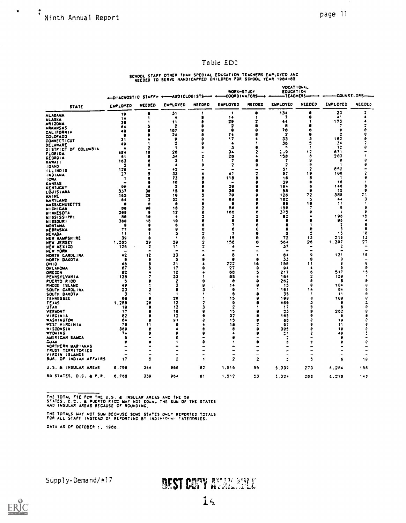$\check{\mathbf{v}}$ 

MODAT LONAL

### Table ED2

## SCHOOL STAFF OTHER THAN SPECIAL EDUCATION TEACHERS EMPLOYED AND NEEDED TO SERVE HANDICAPPED CHILDREN FOR SCHOOL YEAR 1984-85

|                                              |                 |                      | + DIAGNOSTIC STAFF+ +----AUDIOLOGISTS-++ |               | WORK-STUDY      | -COORDINATORS---+ | <b>EDUCATION</b><br>-TEACHERS-<br>-4 |               | -COUNSELORS--- |                         |
|----------------------------------------------|-----------------|----------------------|------------------------------------------|---------------|-----------------|-------------------|--------------------------------------|---------------|----------------|-------------------------|
| STATE                                        | <b>EMPLOYED</b> | NEEDED               | EMPLOYED                                 | NEEDED        | <b>EMPLOYED</b> | NEEDED            | <b>EMPLOYED</b>                      | <b>NEEDED</b> | ENPLOYED       | NEEDED                  |
| <b>ALABAMA</b>                               | 19              |                      | 31                                       |               | ,               | э                 | 134                                  | ٠             | 23             | $\overline{\mathbf{z}}$ |
| <b>ALASKA</b>                                | 14              | 1                    | $\bullet$                                |               | 14              | 1<br>2            | 1                                    | ч             | 41<br>173      |                         |
| <b>ARIZONA</b>                               | 30              |                      | 11<br>2                                  |               | 29<br>2         |                   | 64<br>в                              |               | 7              |                         |
| <b>ARKANSAS</b>                              | 64              |                      | 167                                      |               | 2               |                   | 78                                   |               | Ð              | e                       |
| <b>CALIFORNIA</b>                            | 49<br>R         |                      | 24                                       |               | 74              |                   | 2                                    |               | 2              | e                       |
| <b>COLORADO</b>                              | 31              |                      | 9                                        |               | 17              |                   | 33                                   |               | 162            |                         |
| <b>CONNECTICUT</b>                           | 49              |                      | $\overline{\mathbf{2}}$                  |               | 4               |                   | 36                                   |               | 34             |                         |
| DELAWARE<br>DISTRICT OF COLUMBIA             | 4               |                      | -1                                       |               | з               |                   | л.                                   |               | 12             |                         |
| <b>FLORIDA</b>                               | 484             | 18                   | 28                                       |               | 34              |                   | 9 - ءُ                               | 12            | 671            |                         |
| <b>GEORGIA</b>                               | 51              | 8                    | 34                                       |               | 28              |                   | 158                                  | B             | 203            |                         |
| <b>HAWAII</b>                                | 183             | 6                    | з                                        |               | 7               |                   | 7                                    | А             | ø              | e                       |
| <b>IDANO</b>                                 | 5               |                      | ٠                                        |               | 7               |                   | 2                                    | 0             | -1             |                         |
| <b>ILLINOIS</b>                              | 126             |                      | 42                                       |               | $\blacksquare$  |                   | 51                                   |               | 852<br>166     |                         |
| INDIANA                                      | 27              |                      | 33<br>73                                 |               | 41<br>118       |                   | 97<br>16                             | 19<br>я       | -1             |                         |
| <b>I OWA</b>                                 | -1<br>$\bullet$ |                      | 16                                       |               |                 |                   | 39                                   |               | 16             |                         |
| <b>KANSAS</b>                                | 90              |                      | $\overline{\mathbf{z}}$                  |               | 28              |                   | 184                                  | 6             | 146            |                         |
| <b>KENTUCKY</b><br><b>LOUISIANA</b>          | 337             | 30                   | 15                                       |               | 30              |                   | 58                                   | я             | 15             | ٥                       |
| <b>MAINE</b>                                 | 165             | 28                   | 19                                       |               | 78              |                   | 126                                  | 72            | 388            | 21                      |
| <b>MARYLAND</b>                              | 84              | 2                    | 32                                       |               | 68              | Ð                 | 162                                  | 5             | 44             | Л                       |
| <b>MASSACHUSETTS</b>                         | я               | ß                    |                                          |               | e               |                   | 88                                   | 18            | 11             |                         |
| <b>MICHIGAN</b>                              | 88              | 98                   | 18                                       |               | 56              | в                 | 158                                  |               | 8              | 0                       |
| <b>MINNESOTA</b>                             | 209             | 8                    | 12<br>4                                  |               | 166<br>з        | е                 | 375                                  | А             | -1<br>198      | е                       |
| MISSISSIPPI                                  | 89<br>368       | 10<br>18             | 18                                       |               | 9               |                   | 82<br>ß                              |               | 96             | 15                      |
| <b>MISSOURI</b><br><b>MONTANA</b>            | 9               |                      | 6                                        |               | 7               |                   | я                                    |               | 2              | 9                       |
| NEBRASKA                                     | 77              | в                    | e                                        |               | 9               |                   | ₽                                    |               | з              | я                       |
| <b>NEVADA</b>                                | 11              |                      | з                                        |               | 7               |                   | з                                    | s             | -15            | 8                       |
| NEW HAMPSHIRE                                | 39              |                      |                                          |               | 15              |                   | 72                                   | 13            | 219            | 13                      |
| <b>NEW JERSEY</b>                            | 1.565           | 29                   | 30                                       |               | 158             | a                 | 564                                  | 26            | 1,397          | 27                      |
| NEW MEXICO                                   | 126             | $\ddot{\phantom{a}}$ | 11                                       |               |                 |                   | 37                                   |               |                |                         |
| NEW YORK                                     | -               | ٠                    | $\blacksquare$                           |               |                 |                   |                                      |               |                |                         |
| NORTH CARDLINA                               | 42              | 12<br>П              | 33                                       |               | 8<br>٠          | £                 | 54<br>33                             | s<br>9        | 131<br>8       | 16                      |
| NORTH DAKOTA                                 | e<br>48         | я                    | Δ<br>31                                  |               | 222             | 16                | 158                                  | י י           | в              | 8                       |
| <b>OH10</b><br><b><i><u>DKLAHOMA</u></i></b> | 67              |                      | 17                                       |               | 27              | Я                 | 94                                   |               |                | ø                       |
| <b>ORECON</b>                                | 62              |                      | 12                                       |               | 68              |                   | 217                                  | 6             | 517            | 15                      |
| PENNSYLVANIA                                 | 128             |                      | 33                                       |               | 85              |                   | 164                                  | 2             | 158            | -1                      |
| PUERTO RICO                                  | з               |                      | 2                                        | A             | ô               |                   | 262                                  | e             | я              | e                       |
| RHODE ISLAND                                 | 49              |                      | 3                                        | 9             | 14              |                   | 15                                   | 8             | 194            | Ø                       |
| SOUTH CAROLINA                               | 23              |                      | 8                                        |               | 6               |                   | 181                                  | 14            | 64             | É                       |
| SOUTH DAKOTA                                 | 3               |                      | -1                                       |               | э               |                   | 35                                   | 8             | 11             | θ                       |
| TENNESSEE                                    | 68<br>1,288     | я                    | 28<br>12                                 |               | 15<br>5         |                   | 198<br>465                           | з             | 198<br>я       | e                       |
| TEXAS<br>UTAN                                | 18              | 28                   | 13                                       |               | $\overline{2}$  |                   | 17                                   | Ĥ             | в              | e                       |
| VERNONT                                      | 17              |                      | 16                                       |               | 15              |                   | 23                                   | 8             | 262            | e                       |
| VIRGINIA                                     | 87              |                      | 12                                       | a             | 32              |                   | 185                                  | e             | 8              | e                       |
| WASHINGTON                                   | 64              |                      | 91                                       |               | 15              |                   | 68                                   | ۰             | 19             | e                       |
| <b>WEST VIRGINIA</b>                         | 78              | 11                   | 6                                        |               | 18              |                   | 57                                   | 9             | 11             | P                       |
| <b>WISCONSIN</b>                             | 368             | R                    | ۸                                        |               | ŧ               |                   | 2e2                                  | e             | 18             | e                       |
| <b><i>WADRING</i></b>                        | 74              |                      | ۰                                        |               | ▲               |                   | 91                                   | 2             | 49             |                         |
| AMERICAN SAMOA                               | в               |                      | ٤                                        |               |                 |                   | 2                                    |               | e              |                         |
| CUAN<br>NORTHERN MARIANAS                    |                 |                      | 5                                        | A             | ۹               |                   | в                                    | e             | 9              | e                       |
| TRUST TERRITORIES                            |                 |                      | $\blacksquare$                           | $\rightarrow$ | -               |                   | -                                    | -             |                |                         |
| VIRGIN ISLANDS                               |                 |                      | $\blacksquare$                           |               |                 |                   |                                      |               |                |                         |
| BUR. OF INDIAN AFFAIRS                       | 17              | ٥                    | 2                                        | 1             | 2               | 2                 | ž                                    | 5             | ٥              | 18                      |
| U.S. & INSULAR AREAS                         | 6,790           | 344                  | 966                                      | 62            | 1,515           | 55                | 5.339                                | 273           | 6.284          | 158                     |
| 58 STATES, D.C. & P.R.                       | 6,768           | 339                  | 964                                      | 61            | 1,512           | 53                | 5.324                                | 268           | 6.278          | 148                     |

THE TOTAL FTE FOR THE U.S. & INSULAR AREAS AND THE 50<br>STATES, D.C., & PUERTO RICC MAY NOT EQUAL THE SUM OF THE STATES<br>AND INSULAR AREAS BECAUSE OF ROUNDING,

THE TOTALS MAY NOT SUM BECAUSE SOME STATES ONLY REPORTED TOTALS FOR ALL STAFF INSTEAD OF REPORTING BY INDIVIDUAL CATEGORIES. DATA AS OF OCTOBER 1, 1986.

Supply-Demand/#17